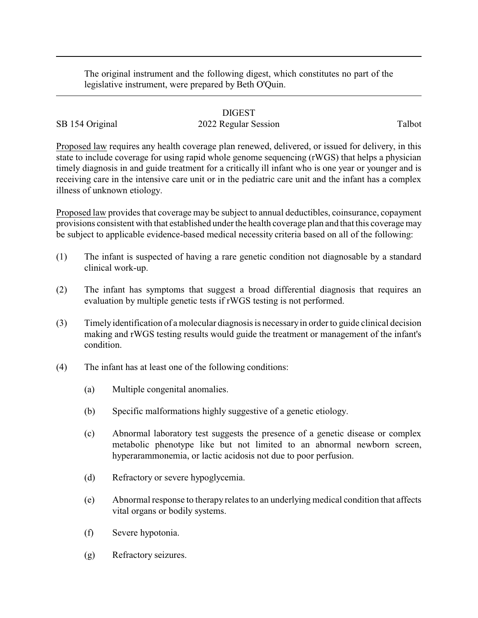The original instrument and the following digest, which constitutes no part of the legislative instrument, were prepared by Beth O'Quin.

## DIGEST

## SB 154 Original 2022 Regular Session Talbot

Proposed law requires any health coverage plan renewed, delivered, or issued for delivery, in this state to include coverage for using rapid whole genome sequencing (rWGS) that helps a physician timely diagnosis in and guide treatment for a critically ill infant who is one year or younger and is receiving care in the intensive care unit or in the pediatric care unit and the infant has a complex illness of unknown etiology.

Proposed law provides that coverage may be subject to annual deductibles, coinsurance, copayment provisions consistent with that established under the health coverage plan and that this coverage may be subject to applicable evidence-based medical necessity criteria based on all of the following:

- (1) The infant is suspected of having a rare genetic condition not diagnosable by a standard clinical work-up.
- (2) The infant has symptoms that suggest a broad differential diagnosis that requires an evaluation by multiple genetic tests if rWGS testing is not performed.
- (3) Timely identification of a molecular diagnosis is necessaryin order to guide clinical decision making and rWGS testing results would guide the treatment or management of the infant's condition.
- (4) The infant has at least one of the following conditions:
	- (a) Multiple congenital anomalies.
	- (b) Specific malformations highly suggestive of a genetic etiology.
	- (c) Abnormal laboratory test suggests the presence of a genetic disease or complex metabolic phenotype like but not limited to an abnormal newborn screen, hyperarammonemia, or lactic acidosis not due to poor perfusion.
	- (d) Refractory or severe hypoglycemia.
	- (e) Abnormal response to therapy relates to an underlying medical condition that affects vital organs or bodily systems.
	- (f) Severe hypotonia.
	- (g) Refractory seizures.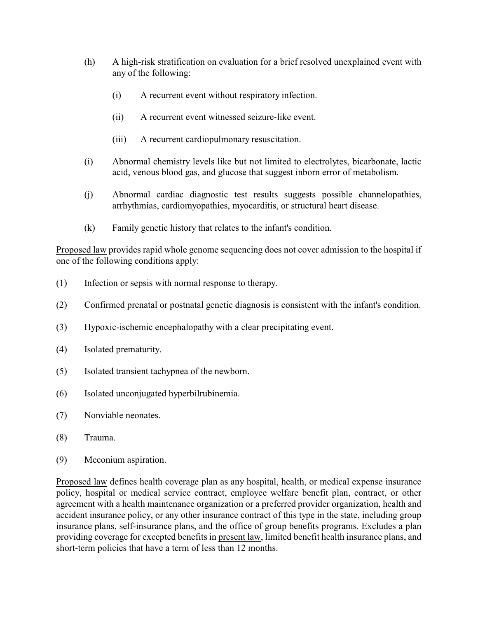- (h) A high-risk stratification on evaluation for a brief resolved unexplained event with any of the following:
	- (i) A recurrent event without respiratory infection.
	- (ii) A recurrent event witnessed seizure-like event.
	- (iii) A recurrent cardiopulmonary resuscitation.
- (i) Abnormal chemistry levels like but not limited to electrolytes, bicarbonate, lactic acid, venous blood gas, and glucose that suggest inborn error of metabolism.
- (j) Abnormal cardiac diagnostic test results suggests possible channelopathies, arrhythmias, cardiomyopathies, myocarditis, or structural heart disease.
- (k) Family genetic history that relates to the infant's condition.

Proposed law provides rapid whole genome sequencing does not cover admission to the hospital if one of the following conditions apply:

- (1) Infection or sepsis with normal response to therapy.
- (2) Confirmed prenatal or postnatal genetic diagnosis is consistent with the infant's condition.
- (3) Hypoxic-ischemic encephalopathy with a clear precipitating event.
- (4) Isolated prematurity.
- (5) Isolated transient tachypnea of the newborn.
- (6) Isolated unconjugated hyperbilrubinemia.
- (7) Nonviable neonates.
- (8) Trauma.
- (9) Meconium aspiration.

Proposed law defines health coverage plan as any hospital, health, or medical expense insurance policy, hospital or medical service contract, employee welfare benefit plan, contract, or other agreement with a health maintenance organization or a preferred provider organization, health and accident insurance policy, or any other insurance contract of this type in the state, including group insurance plans, self-insurance plans, and the office of group benefits programs. Excludes a plan providing coverage for excepted benefits in present law, limited benefit health insurance plans, and short-term policies that have a term of less than 12 months.